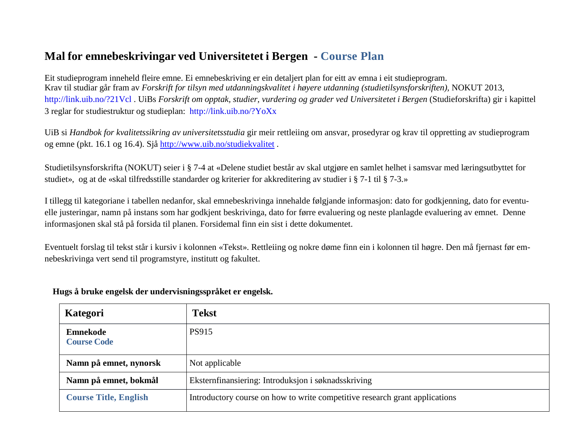## **Mal for emnebeskrivingar ved Universitetet i Bergen - Course Plan**

Eit studieprogram inneheld fleire emne. Ei emnebeskriving er ein detaljert plan for eitt av emna i eit studieprogram. Krav til studiar går fram av *Forskrift for tilsyn med utdanningskvalitet i høyere utdanning (studietilsynsforskriften),* NOKUT 2013, <http://link.uib.no/?21Vcl> . UiBs *Forskrift om opptak, studier, vurdering og grader ved Universitetet i Bergen* (Studieforskrifta) gir i kapittel 3 reglar for studiestruktur og studieplan: <http://link.uib.no/?YoXx>

UiB si *Handbok for kvalitetssikring av universitetsstudia* gir meir rettleiing om ansvar, prosedyrar og krav til oppretting av studieprogram og emne (pkt. 16.1 og 16.4). Sjå <http://www.uib.no/studiekvalitet> .

Studietilsynsforskrifta (NOKUT) seier i § 7-4 at «Delene studiet består av skal utgjøre en samlet helhet i samsvar med læringsutbyttet for studiet», og at de «skal tilfredsstille standarder og kriterier for akkreditering av studier i § 7-1 til § 7-3.»

I tillegg til kategoriane i tabellen nedanfor, skal emnebeskrivinga innehalde følgjande informasjon: dato for godkjenning, dato for eventuelle justeringar, namn på instans som har godkjent beskrivinga, dato for førre evaluering og neste planlagde evaluering av emnet. Denne informasjonen skal stå på forsida til planen. Forsidemal finn ein sist i dette dokumentet.

Eventuelt forslag til tekst står i kursiv i kolonnen «Tekst». Rettleiing og nokre døme finn ein i kolonnen til høgre. Den må fjernast før emnebeskrivinga vert send til programstyre, institutt og fakultet.

| Kategori                              | <b>Tekst</b>                                                                |
|---------------------------------------|-----------------------------------------------------------------------------|
| <b>Emnekode</b><br><b>Course Code</b> | PS915                                                                       |
| Namn på emnet, nynorsk                | Not applicable                                                              |
| Namn på emnet, bokmål                 | Eksternfinansiering: Introduksjon i søknadsskriving                         |
| <b>Course Title, English</b>          | Introductory course on how to write competitive research grant applications |

**Hugs å bruke engelsk der undervisningsspråket er engelsk.**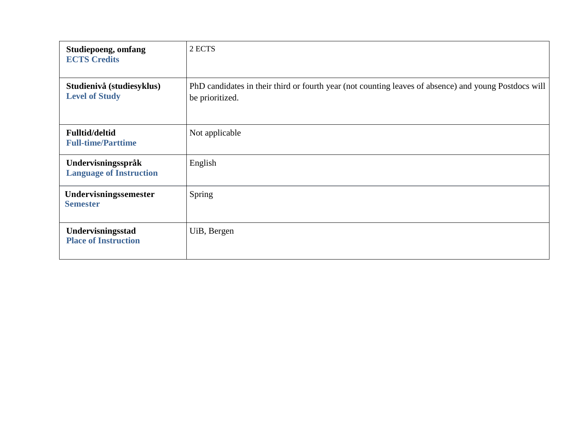| Studiepoeng, omfang<br><b>ECTS Credits</b>           | 2 ECTS                                                                                                                   |
|------------------------------------------------------|--------------------------------------------------------------------------------------------------------------------------|
| Studienivå (studiesyklus)<br><b>Level of Study</b>   | PhD candidates in their third or fourth year (not counting leaves of absence) and young Postdocs will<br>be prioritized. |
| <b>Fulltid/deltid</b><br><b>Full-time/Parttime</b>   | Not applicable                                                                                                           |
| Undervisningsspråk<br><b>Language of Instruction</b> | English                                                                                                                  |
| Undervisningssemester<br><b>Semester</b>             | Spring                                                                                                                   |
| Undervisningsstad<br><b>Place of Instruction</b>     | UiB, Bergen                                                                                                              |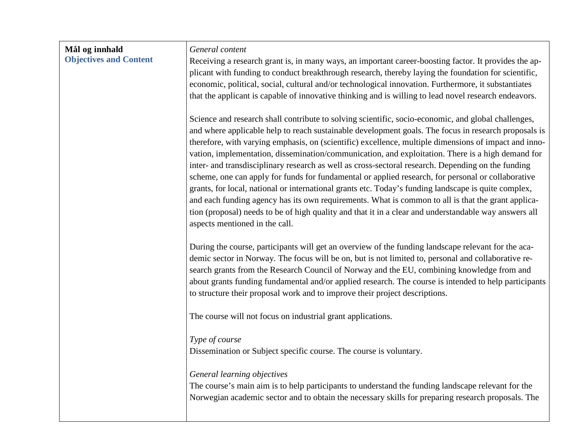| Mål og innhald                | General content                                                                                                                                                                                               |
|-------------------------------|---------------------------------------------------------------------------------------------------------------------------------------------------------------------------------------------------------------|
| <b>Objectives and Content</b> | Receiving a research grant is, in many ways, an important career-boosting factor. It provides the ap-<br>plicant with funding to conduct breakthrough research, thereby laying the foundation for scientific, |
|                               | economic, political, social, cultural and/or technological innovation. Furthermore, it substantiates                                                                                                          |
|                               | that the applicant is capable of innovative thinking and is willing to lead novel research endeavors.                                                                                                         |
|                               | Science and research shall contribute to solving scientific, socio-economic, and global challenges,                                                                                                           |
|                               | and where applicable help to reach sustainable development goals. The focus in research proposals is                                                                                                          |
|                               | therefore, with varying emphasis, on (scientific) excellence, multiple dimensions of impact and inno-                                                                                                         |
|                               | vation, implementation, dissemination/communication, and exploitation. There is a high demand for<br>inter- and transdisciplinary research as well as cross-sectoral research. Depending on the funding       |
|                               | scheme, one can apply for funds for fundamental or applied research, for personal or collaborative                                                                                                            |
|                               | grants, for local, national or international grants etc. Today's funding landscape is quite complex,                                                                                                          |
|                               | and each funding agency has its own requirements. What is common to all is that the grant applica-                                                                                                            |
|                               | tion (proposal) needs to be of high quality and that it in a clear and understandable way answers all<br>aspects mentioned in the call.                                                                       |
|                               |                                                                                                                                                                                                               |
|                               | During the course, participants will get an overview of the funding landscape relevant for the aca-                                                                                                           |
|                               | demic sector in Norway. The focus will be on, but is not limited to, personal and collaborative re-                                                                                                           |
|                               | search grants from the Research Council of Norway and the EU, combining knowledge from and                                                                                                                    |
|                               | about grants funding fundamental and/or applied research. The course is intended to help participants<br>to structure their proposal work and to improve their project descriptions.                          |
|                               |                                                                                                                                                                                                               |
|                               | The course will not focus on industrial grant applications.                                                                                                                                                   |
|                               | Type of course                                                                                                                                                                                                |
|                               | Dissemination or Subject specific course. The course is voluntary.                                                                                                                                            |
|                               | General learning objectives                                                                                                                                                                                   |
|                               | The course's main aim is to help participants to understand the funding landscape relevant for the                                                                                                            |
|                               | Norwegian academic sector and to obtain the necessary skills for preparing research proposals. The                                                                                                            |
|                               |                                                                                                                                                                                                               |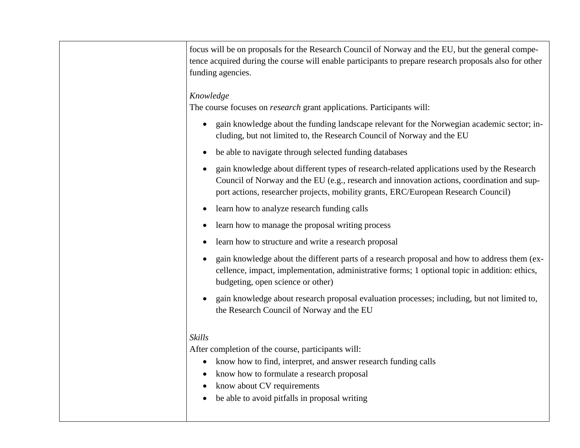| focus will be on proposals for the Research Council of Norway and the EU, but the general compe-<br>tence acquired during the course will enable participants to prepare research proposals also for other<br>funding agencies.                                                |
|--------------------------------------------------------------------------------------------------------------------------------------------------------------------------------------------------------------------------------------------------------------------------------|
| Knowledge<br>The course focuses on <i>research</i> grant applications. Participants will:                                                                                                                                                                                      |
| gain knowledge about the funding landscape relevant for the Norwegian academic sector; in-<br>$\bullet$<br>cluding, but not limited to, the Research Council of Norway and the EU                                                                                              |
| be able to navigate through selected funding databases<br>$\bullet$                                                                                                                                                                                                            |
| gain knowledge about different types of research-related applications used by the Research<br>Council of Norway and the EU (e.g., research and innovation actions, coordination and sup-<br>port actions, researcher projects, mobility grants, ERC/European Research Council) |
| learn how to analyze research funding calls<br>$\bullet$                                                                                                                                                                                                                       |
| learn how to manage the proposal writing process<br>$\bullet$                                                                                                                                                                                                                  |
| learn how to structure and write a research proposal<br>$\bullet$                                                                                                                                                                                                              |
| gain knowledge about the different parts of a research proposal and how to address them (ex-<br>$\bullet$<br>cellence, impact, implementation, administrative forms; 1 optional topic in addition: ethics,<br>budgeting, open science or other)                                |
| gain knowledge about research proposal evaluation processes; including, but not limited to,<br>$\bullet$<br>the Research Council of Norway and the EU                                                                                                                          |
| <b>Skills</b>                                                                                                                                                                                                                                                                  |
| After completion of the course, participants will:                                                                                                                                                                                                                             |
| know how to find, interpret, and answer research funding calls<br>$\bullet$                                                                                                                                                                                                    |
| know how to formulate a research proposal<br>$\bullet$                                                                                                                                                                                                                         |
| know about CV requirements<br>$\bullet$<br>be able to avoid pitfalls in proposal writing<br>$\bullet$                                                                                                                                                                          |
|                                                                                                                                                                                                                                                                                |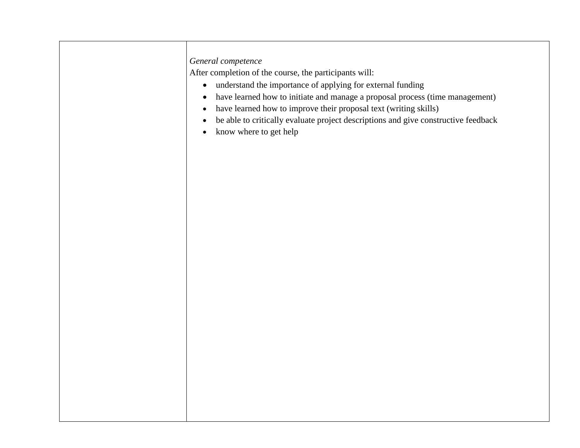## *General competence*

After completion of the course, the participants will:

- understand the importance of applying for external funding
- have learned how to initiate and manage a proposal process (time management)
- have learned how to improve their proposal text (writing skills)
- be able to critically evaluate project descriptions and give constructive feedback
- know where to get help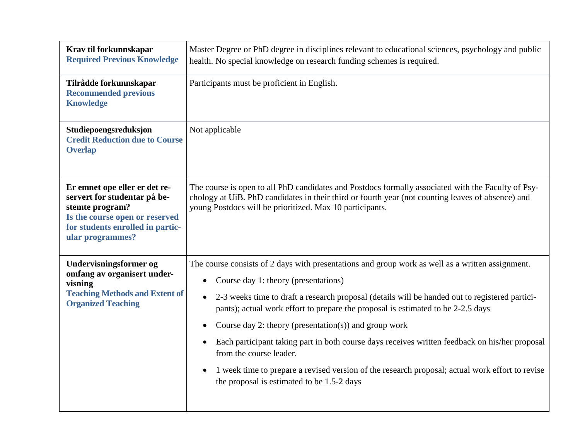| Krav til forkunnskapar<br><b>Required Previous Knowledge</b>                                                                                                               | Master Degree or PhD degree in disciplines relevant to educational sciences, psychology and public<br>health. No special knowledge on research funding schemes is required.                                                                                                                                                                                                                                                                                                                                                                                                                                                                                                        |
|----------------------------------------------------------------------------------------------------------------------------------------------------------------------------|------------------------------------------------------------------------------------------------------------------------------------------------------------------------------------------------------------------------------------------------------------------------------------------------------------------------------------------------------------------------------------------------------------------------------------------------------------------------------------------------------------------------------------------------------------------------------------------------------------------------------------------------------------------------------------|
| Tilrådde forkunnskapar<br><b>Recommended previous</b><br><b>Knowledge</b>                                                                                                  | Participants must be proficient in English.                                                                                                                                                                                                                                                                                                                                                                                                                                                                                                                                                                                                                                        |
| Studiepoengsreduksjon<br><b>Credit Reduction due to Course</b><br><b>Overlap</b>                                                                                           | Not applicable                                                                                                                                                                                                                                                                                                                                                                                                                                                                                                                                                                                                                                                                     |
| Er emnet ope eller er det re-<br>servert for studentar på be-<br>stemte program?<br>Is the course open or reserved<br>for students enrolled in partic-<br>ular programmes? | The course is open to all PhD candidates and Postdocs formally associated with the Faculty of Psy-<br>chology at UiB. PhD candidates in their third or fourth year (not counting leaves of absence) and<br>young Postdocs will be prioritized. Max 10 participants.                                                                                                                                                                                                                                                                                                                                                                                                                |
| Undervisningsformer og<br>omfang av organisert under-<br>visning<br><b>Teaching Methods and Extent of</b><br><b>Organized Teaching</b>                                     | The course consists of 2 days with presentations and group work as well as a written assignment.<br>Course day 1: theory (presentations)<br>$\bullet$<br>2-3 weeks time to draft a research proposal (details will be handed out to registered partici-<br>pants); actual work effort to prepare the proposal is estimated to be 2-2.5 days<br>Course day 2: theory (presentation(s)) and group work<br>Each participant taking part in both course days receives written feedback on his/her proposal<br>from the course leader.<br>1 week time to prepare a revised version of the research proposal; actual work effort to revise<br>the proposal is estimated to be 1.5-2 days |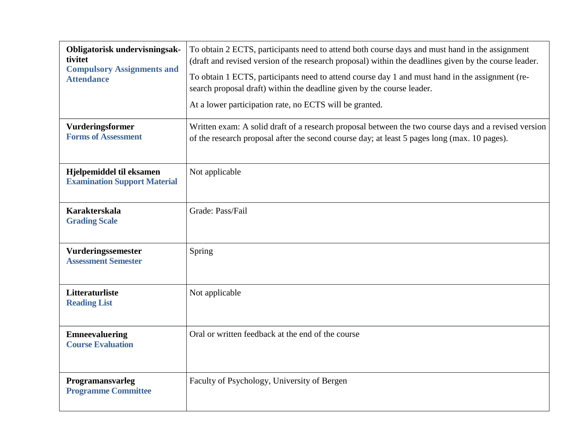| Obligatorisk undervisningsak-<br>tivitet<br><b>Compulsory Assignments and</b><br><b>Attendance</b> | To obtain 2 ECTS, participants need to attend both course days and must hand in the assignment<br>(draft and revised version of the research proposal) within the deadlines given by the course leader. |
|----------------------------------------------------------------------------------------------------|---------------------------------------------------------------------------------------------------------------------------------------------------------------------------------------------------------|
|                                                                                                    | To obtain 1 ECTS, participants need to attend course day 1 and must hand in the assignment (re-<br>search proposal draft) within the deadline given by the course leader.                               |
|                                                                                                    | At a lower participation rate, no ECTS will be granted.                                                                                                                                                 |
| Vurderingsformer<br><b>Forms of Assessment</b>                                                     | Written exam: A solid draft of a research proposal between the two course days and a revised version<br>of the research proposal after the second course day; at least 5 pages long (max. 10 pages).    |
| Hjelpemiddel til eksamen<br><b>Examination Support Material</b>                                    | Not applicable                                                                                                                                                                                          |
| <b>Karakterskala</b><br><b>Grading Scale</b>                                                       | Grade: Pass/Fail                                                                                                                                                                                        |
| Vurderingssemester<br><b>Assessment Semester</b>                                                   | Spring                                                                                                                                                                                                  |
| Litteraturliste<br><b>Reading List</b>                                                             | Not applicable                                                                                                                                                                                          |
| <b>Emneevaluering</b><br><b>Course Evaluation</b>                                                  | Oral or written feedback at the end of the course                                                                                                                                                       |
| Programansvarleg<br><b>Programme Committee</b>                                                     | Faculty of Psychology, University of Bergen                                                                                                                                                             |